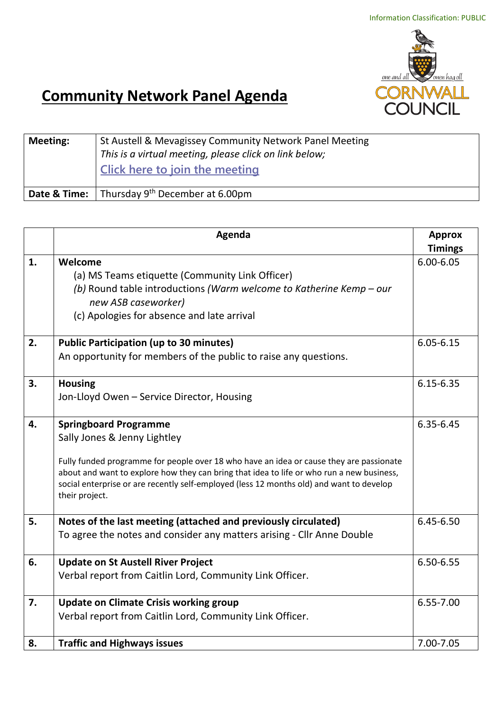

## **Community Network Panel Agenda**

| <b>Meeting:</b> | St Austell & Mevagissey Community Network Panel Meeting<br>This is a virtual meeting, please click on link below;<br>Click here to join the meeting |
|-----------------|-----------------------------------------------------------------------------------------------------------------------------------------------------|
| Date & Time:    | Thursday $9th$ December at 6.00pm                                                                                                                   |

|    | Agenda                                                                                    | <b>Approx</b>  |
|----|-------------------------------------------------------------------------------------------|----------------|
|    |                                                                                           | <b>Timings</b> |
| 1. | Welcome                                                                                   | $6.00 - 6.05$  |
|    | (a) MS Teams etiquette (Community Link Officer)                                           |                |
|    | (b) Round table introductions (Warm welcome to Katherine Kemp - our                       |                |
|    | new ASB caseworker)                                                                       |                |
|    | (c) Apologies for absence and late arrival                                                |                |
|    |                                                                                           |                |
| 2. | <b>Public Participation (up to 30 minutes)</b>                                            | $6.05 - 6.15$  |
|    | An opportunity for members of the public to raise any questions.                          |                |
| 3. | <b>Housing</b>                                                                            | $6.15 - 6.35$  |
|    | Jon-Lloyd Owen - Service Director, Housing                                                |                |
|    |                                                                                           |                |
| 4. | <b>Springboard Programme</b>                                                              | 6.35-6.45      |
|    | Sally Jones & Jenny Lightley                                                              |                |
|    | Fully funded programme for people over 18 who have an idea or cause they are passionate   |                |
|    | about and want to explore how they can bring that idea to life or who run a new business, |                |
|    | social enterprise or are recently self-employed (less 12 months old) and want to develop  |                |
|    | their project.                                                                            |                |
| 5. | Notes of the last meeting (attached and previously circulated)                            | $6.45 - 6.50$  |
|    | To agree the notes and consider any matters arising - Cllr Anne Double                    |                |
|    |                                                                                           |                |
| 6. | <b>Update on St Austell River Project</b>                                                 | 6.50-6.55      |
|    | Verbal report from Caitlin Lord, Community Link Officer.                                  |                |
| 7. | <b>Update on Climate Crisis working group</b>                                             | 6.55-7.00      |
|    | Verbal report from Caitlin Lord, Community Link Officer.                                  |                |
|    |                                                                                           |                |
| 8. | <b>Traffic and Highways issues</b>                                                        | 7.00-7.05      |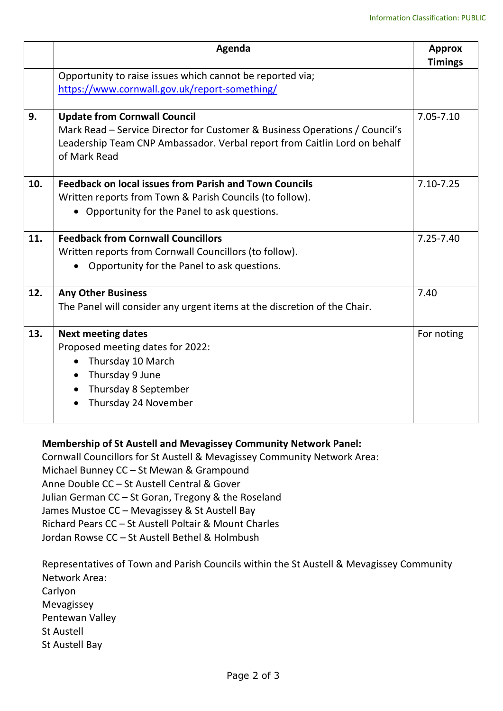|     | Agenda                                                                      | <b>Approx</b>  |
|-----|-----------------------------------------------------------------------------|----------------|
|     |                                                                             | <b>Timings</b> |
|     | Opportunity to raise issues which cannot be reported via;                   |                |
|     | https://www.cornwall.gov.uk/report-something/                               |                |
|     |                                                                             |                |
| 9.  | <b>Update from Cornwall Council</b>                                         | 7.05-7.10      |
|     | Mark Read – Service Director for Customer & Business Operations / Council's |                |
|     | Leadership Team CNP Ambassador. Verbal report from Caitlin Lord on behalf   |                |
|     | of Mark Read                                                                |                |
| 10. | <b>Feedback on local issues from Parish and Town Councils</b>               | 7.10-7.25      |
|     | Written reports from Town & Parish Councils (to follow).                    |                |
|     | Opportunity for the Panel to ask questions.                                 |                |
|     |                                                                             |                |
| 11. | <b>Feedback from Cornwall Councillors</b>                                   | $7.25 - 7.40$  |
|     | Written reports from Cornwall Councillors (to follow).                      |                |
|     | Opportunity for the Panel to ask questions.                                 |                |
| 12. | <b>Any Other Business</b>                                                   | 7.40           |
|     | The Panel will consider any urgent items at the discretion of the Chair.    |                |
|     |                                                                             |                |
| 13. | <b>Next meeting dates</b>                                                   | For noting     |
|     | Proposed meeting dates for 2022:                                            |                |
|     | Thursday 10 March<br>$\bullet$                                              |                |
|     | Thursday 9 June<br>$\bullet$                                                |                |
|     | Thursday 8 September                                                        |                |
|     | Thursday 24 November                                                        |                |
|     |                                                                             |                |

## **Membership of St Austell and Mevagissey Community Network Panel:**

Cornwall Councillors for St Austell & Mevagissey Community Network Area: Michael Bunney CC – St Mewan & Grampound Anne Double CC – St Austell Central & Gover Julian German CC – St Goran, Tregony & the Roseland James Mustoe CC – Mevagissey & St Austell Bay Richard Pears CC – St Austell Poltair & Mount Charles Jordan Rowse CC – St Austell Bethel & Holmbush

Representatives of Town and Parish Councils within the St Austell & Mevagissey Community Network Area: Carlyon Mevagissey Pentewan Valley St Austell St Austell Bay